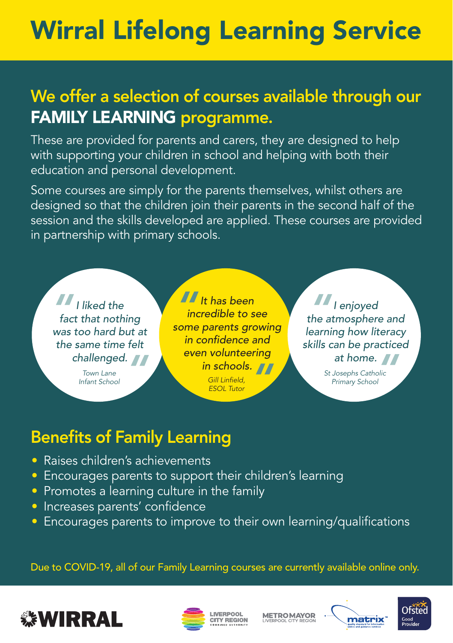## Wirral Lifelong Learning Service

## We offer a selection of courses available through our FAMILY LEARNING programme.

These are provided for parents and carers, they are designed to help with supporting your children in school and helping with both their education and personal development.

Some courses are simply for the parents themselves, whilst others are designed so that the children join their parents in the second half of the session and the skills developed are applied. These courses are provided in partnership with primary schools.



*Infant School Town Lane* 

*II* It has been<br>*incredible to s*<br>some parents gre *incredible to see some parents growing in confidence and even volunteering in schools.*<br> *Gill Linfield,*<br> *ESOL Tutor Gill Linfield, ESOL Tutor* 

*I enjoyed the atmosphere and*<br> *atmosphere and*<br> *Parning how literacy learning how literacy skills can be practiced* 

**at home.**<br> **Dosephs Catholic**<br>
Primary School *St Josephs Catholic Primary School*

## Benefits of Family Learning

- Raises children's achievements
- Encourages parents to support their children's learning
- Promotes a learning culture in the family
- Increases parents' confidence
- Encourages parents to improve to their own learning/qualifications

Due to COVID-19, all of our Family Learning courses are currently available online only.





**METROMAYOR**